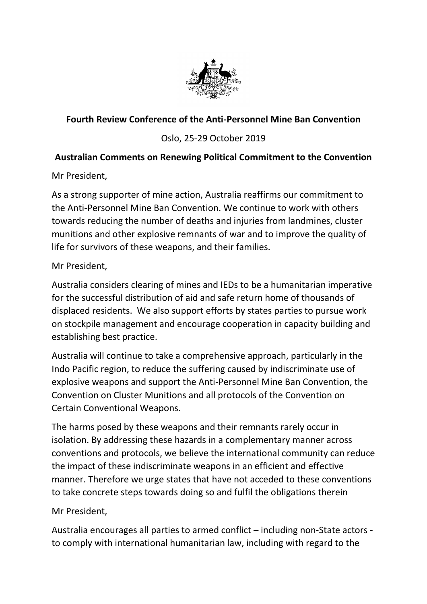

## **Fourth Review Conference of the Anti-Personnel Mine Ban Convention**

## Oslo, 25-29 October 2019

## **Australian Comments on Renewing Political Commitment to the Convention**

Mr President,

As a strong supporter of mine action, Australia reaffirms our commitment to the Anti-Personnel Mine Ban Convention. We continue to work with others towards reducing the number of deaths and injuries from landmines, cluster munitions and other explosive remnants of war and to improve the quality of life for survivors of these weapons, and their families.

Mr President,

Australia considers clearing of mines and IEDs to be a humanitarian imperative for the successful distribution of aid and safe return home of thousands of displaced residents. We also support efforts by states parties to pursue work on stockpile management and encourage cooperation in capacity building and establishing best practice.

Australia will continue to take a comprehensive approach, particularly in the Indo Pacific region, to reduce the suffering caused by indiscriminate use of explosive weapons and support the Anti-Personnel Mine Ban Convention, the Convention on Cluster Munitions and all protocols of the Convention on Certain Conventional Weapons.

The harms posed by these weapons and their remnants rarely occur in isolation. By addressing these hazards in a complementary manner across conventions and protocols, we believe the international community can reduce the impact of these indiscriminate weapons in an efficient and effective manner. Therefore we urge states that have not acceded to these conventions to take concrete steps towards doing so and fulfil the obligations therein

## Mr President,

Australia encourages all parties to armed conflict – including non-State actors to comply with international humanitarian law, including with regard to the